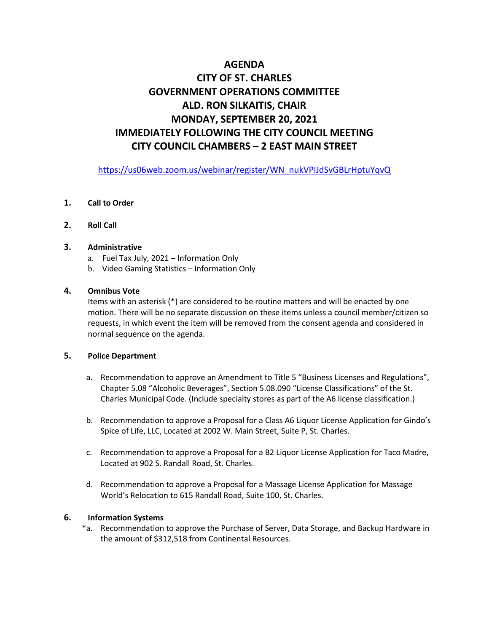# **AGENDA CITY OF ST. CHARLES GOVERNMENT OPERATIONS COMMITTEE ALD. RON SILKAITIS, CHAIR MONDAY, SEPTEMBER 20, 2021 IMMEDIATELY FOLLOWING THE CITY COUNCIL MEETING CITY COUNCIL CHAMBERS – 2 EAST MAIN STREET**

[https://us06web.zoom.us/webinar/register/WN\\_nukVPIJdSvGBLrHptuYqvQ](https://us06web.zoom.us/webinar/register/WN_nukVPIJdSvGBLrHptuYqvQ)

# **1. Call to Order**

**2. Roll Call**

# **3. Administrative**

- a. Fuel Tax July, 2021 Information Only
- b. Video Gaming Statistics Information Only

# **4. Omnibus Vote**

Items with an asterisk (\*) are considered to be routine matters and will be enacted by one motion. There will be no separate discussion on these items unless a council member/citizen so requests, in which event the item will be removed from the consent agenda and considered in normal sequence on the agenda.

## **5. Police Department**

- a. Recommendation to approve an Amendment to Title 5 "Business Licenses and Regulations", Chapter 5.08 "Alcoholic Beverages", Section 5.08.090 "License Classifications" of the St. Charles Municipal Code. (Include specialty stores as part of the A6 license classification.)
- b. Recommendation to approve a Proposal for a Class A6 Liquor License Application for Gindo's Spice of Life, LLC, Located at 2002 W. Main Street, Suite P, St. Charles.
- c. Recommendation to approve a Proposal for a B2 Liquor License Application for Taco Madre, Located at 902 S. Randall Road, St. Charles.
- d. Recommendation to approve a Proposal for a Massage License Application for Massage World's Relocation to 615 Randall Road, Suite 100, St. Charles.

### **6. Information Systems**

 \*a. Recommendation to approve the Purchase of Server, Data Storage, and Backup Hardware in the amount of \$312,518 from Continental Resources.